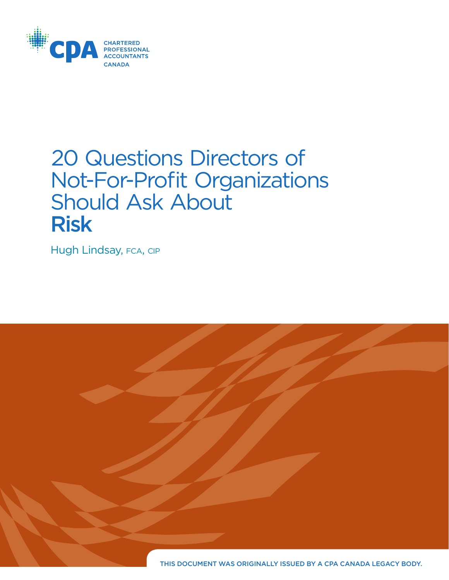

# 20 Questions Directors of Not-For-Profit Organizations Should Ask About **Risk**

Hugh Lindsay, FCA, CIP

THIS DOCUMENT WAS ORIGINALLY ISSUED BY A CPA CANADA LEGACY BODY.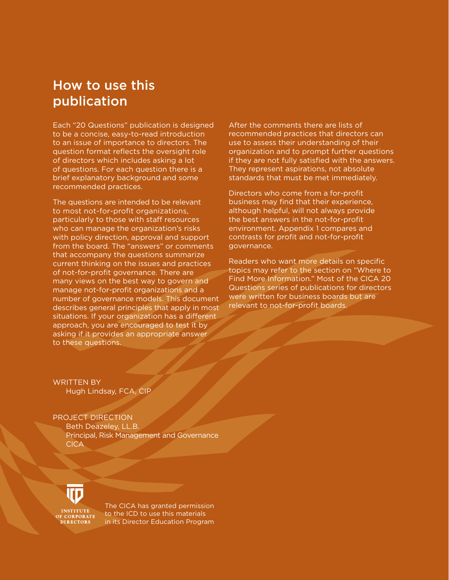# How to use this publication

Each "20 Questions" publication is designed to be a concise, easy-to-read introduction to an issue of importance to directors. The question format reflects the oversight role of directors which includes asking a lot of questions. For each question there is a brief explanatory background and some recommended practices.

The questions are intended to be relevant to most not-for-profit organizations, particularly to those with staff resources who can manage the organization's risks with policy direction, approval and support from the board. The "answers" or comments that accompany the questions summarize current thinking on the issues and practices of not-for-profit governance. There are many views on the best way to govern and manage not-for-profit organizations and a number of governance models. This document describes general principles that apply in most situations. if your organization has a different approach, you are encouraged to test it by asking if it provides an appropriate answer to these questions.

After the comments there are lists of recommended practices that directors can use to assess their understanding of their organization and to prompt further questions if they are not fully satisfied with the answers. They represent aspirations, not absolute standards that must be met immediately.

Directors who come from a for-profit business may find that their experience, although helpful, will not always provide the best answers in the not-for-profit environment. appendix 1 compares and contrasts for profit and not-for-profit governance.

Readers who want more details on specific topics may refer to the section on "Where to Find More Information." Most of the CICA 20 Questions series of publications for directors were written for business boards but are relevant to not-for-profit boards.

WRITTEN BY Hugh Lindsay, FCA, CIP

#### ProjeCt direCtion

Beth Deazeley, LL.B. Principal, Risk Management and Governance **CICA** 



The CICA has granted permission to the ICD to use this materials in its Director Education Program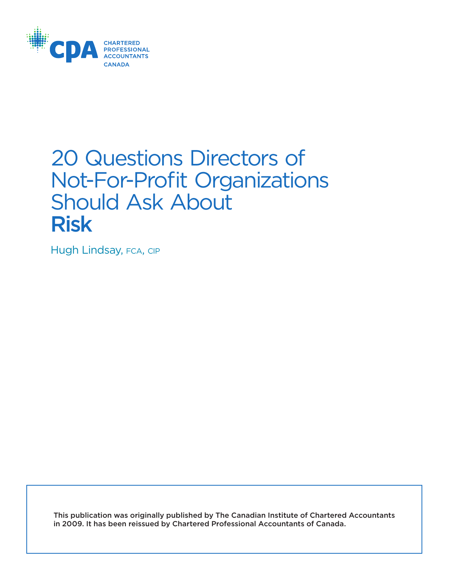

# 20 Questions Directors of Not-For-Profit Organizations Should Ask About Risk

Hugh Lindsay, FCA, CIP

This publication was originally published by The Canadian Institute of Chartered Accountants in 2009. It has been reissued by Chartered Professional Accountants of Canada.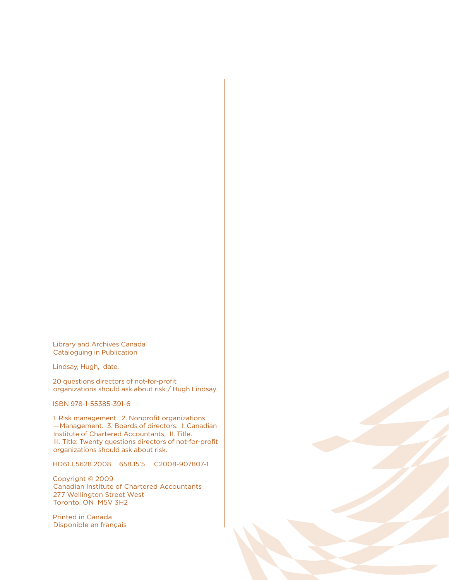Library and Archives Canada Cataloguing in Publication

Lindsay, Hugh, date.

20 questions directors of not-for-profit organizations should ask about risk / Hugh Lindsay.

ISBN 978-1-55385-391-6

1. Risk management. 2. Nonprofit organizations — Management. 3. Boards of directors. I. Canadian Institute of Chartered Accountants, II. Title. III. Title: Twenty questions directors of not-for-profit organizations should ask about risk.

HD61.L5628 2008 658.15'5 C2008-907807-1

Copyright © 2009 Canadian Institute of Chartered Accountants 277 Wellington Street West Toronto, ON M5V 3H2

Printed in Canada Disponible en français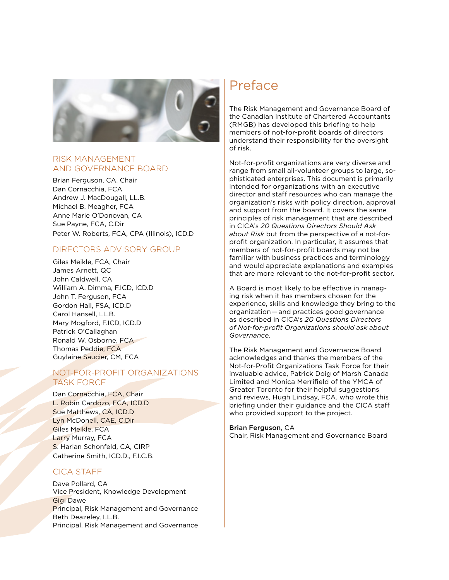

### RiSk MANAgeMeNt AND gOveRNANce BOARD

Brian Ferguson, CA, Chair Dan Cornacchia, FCA Andrew J. MacDougall, LL.B. Michael B. Meagher, FCA Anne Marie O'Donovan, CA Sue Payne, FCA, C.Dir Peter W. Roberts, FCA, CPA (Illinois), ICD.D

## DiRectORS ADviSORy gROuP

Giles Meikle, FCA, Chair James Arnett, QC John Caldwell, CA William A. Dimma, F.ICD, ICD.D John T. Ferguson, FCA Gordon Hall, FSA, ICD.D Carol Hansell, LL.B. Mary Mogford, F.ICD, ICD.D Patrick O'Callaghan Ronald W. Osborne, FCA Thomas Peddie, FCA Guylaine Saucier, CM, FCA

# NOt-FOR-PROFit ORgANizAtiONS tASk FORce

Dan Cornacchia, FCA, Chair L. Robin Cardozo, FCA, ICD.D Sue Matthews, CA, ICD.D Lyn McDonell, CAE, C.Dir Giles Meikle, FCA Larry Murray, FCA S. Harlan Schonfeld, CA, CIRP Catherine Smith, ICD.D., F.I.C.B.

## CICA STAFF

Dave Pollard, CA Vice President, Knowledge Development Gigi Dawe Principal, Risk Management and Governance Beth Deazeley, LL.B. Principal, Risk Management and Governance

# Preface

The Risk Management and Governance Board of the Canadian Institute of Chartered Accountants (RMGB) has developed this briefing to help members of not-for-profit boards of directors understand their responsibility for the oversight of risk.

Not-for-profit organizations are very diverse and range from small all-volunteer groups to large, so phisticated enterprises. This document is primarily intended for organizations with an executive director and staff resources who can manage the organization's risks with policy direction, approval and support from the board. It covers the same principles of risk management that are described in CICA's *20 Questions Directors Should Ask about Risk* but from the perspective of a not-forprofit organization. In particular, it assumes that members of not-for-profit boards may not be familiar with business practices and terminology and would appreciate explanations and examples that are more relevant to the not-for-profit sector.

A Board is most likely to be effective in manag ing risk when it has members chosen for the experience, skills and knowledge they bring to the organization — and practices good governance as described in CICA's *20 Questions Directors of Not-for-profit Organizations should ask about Governance*.

The Risk Management and Governance Board acknowledges and thanks the members of the Not-for-Profit Organizations Task Force for their invaluable advice, Patrick Doig of Marsh Canada Limited and Monica Merrifield of the YMCA of Greater Toronto for their helpful suggestions and reviews, Hugh Lindsay, FCA, who wrote this briefing under their guidance and the CICA staff who provided support to the project.

#### Brian Ferguson, CA

Chair, Risk Management and Governance Board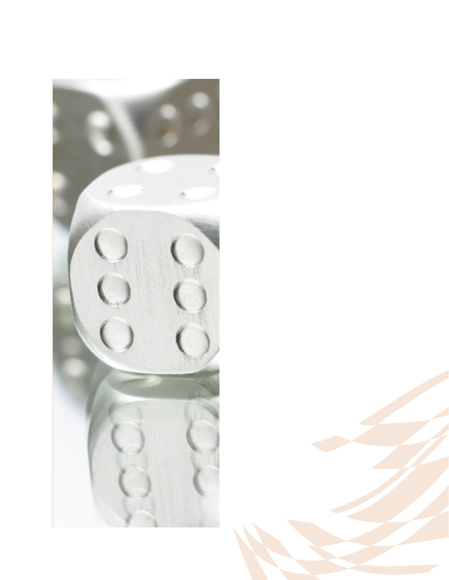

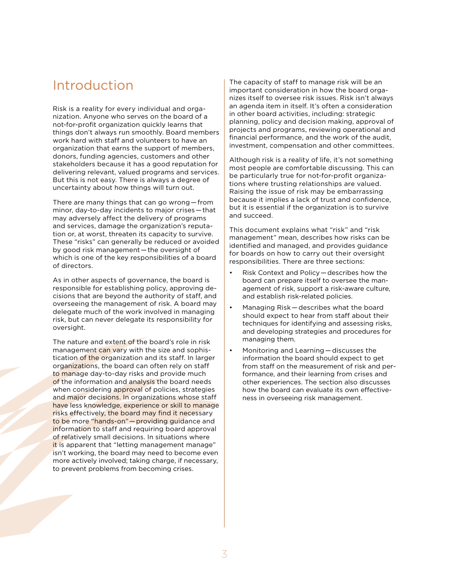# Introduction

Risk is a reality for every individual and orga nization. Anyone who serves on the board of a not-for-profit organization quickly learns that things don't always run smoothly. Board members work hard with staff and volunteers to have an organization that earns the support of members, donors, funding agencies, customers and other stakeholders because it has a good reputation for delivering relevant, valued programs and services. But this is not easy. There is always a degree of uncertainty about how things will turn out.

There are many things that can go wrong — from minor, day-to-day incidents to major crises — that may adversely affect the delivery of programs and services, damage the organization's reputa tion or, at worst, threaten its capacity to survive. These "risks" can generally be reduced or avoided by good risk management — the oversight of which is one of the key responsibilities of a board of directors.

As in other aspects of governance, the board is responsible for establishing policy, approving de cisions that are beyond the authority of staff, and overseeing the management of risk. A board may delegate much of the work involved in managing risk, but can never delegate its responsibility for oversight.

The nature and extent of the board's role in risk management can vary with the size and sophistication of the organization and its staff. In larger organizations, the board can often rely on staff to manage day-to-day risks and provide much of the information and analysis the board needs when considering approval of policies, strategies and major decisions. In organizations whose staff have less knowledge, experience or skill to manage risks effectively, the board may find it necessary to be more "hands-on" — providing guidance and information to staff and requiring board approval of relatively small decisions. In situations where it is apparent that "letting management manage" isn't working, the board may need to become even more actively involved; taking charge, if necessary, to prevent problems from becoming crises.

The capacity of staff to manage risk will be an important consideration in how the board orga nizes itself to oversee risk issues. Risk isn't always an agenda item in itself. It's often a consideration in other board activities, including: strategic planning, policy and decision making, approval of projects and programs, reviewing operational and financial performance, and the work of the audit, investment, compensation and other committees.

Although risk is a reality of life, it's not something most people are comfortable discussing. This can be particularly true for not-for-profit organiza tions where trusting relationships are valued. Raising the issue of risk may be embarrassing because it implies a lack of trust and confidence, but it is essential if the organization is to survive and succeed.

This document explains what "risk" and "risk management" mean, describes how risks can be identified and managed, and provides guidance for boards on how to carry out their oversight responsibilities. There are three sections:

- Risk Context and Policy describes how the board can prepare itself to oversee the man agement of risk, support a risk-aware culture, and establish risk-related policies.
- Managing Risk describes what the board should expect to hear from staff about their techniques for identifying and assessing risks, and developing strategies and procedures for managing them.
- Monitoring and Learning discusses the information the board should expect to get from staff on the measurement of risk and per formance, and their learning from crises and other experiences. The section also discusses how the board can evaluate its own effective ness in overseeing risk management.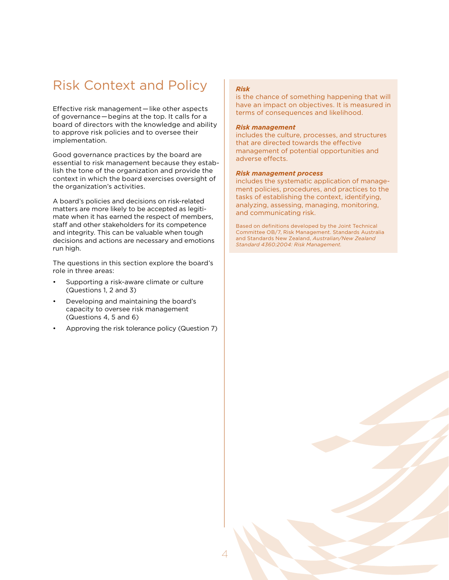# Risk Context and Policy

Effective risk management — like other aspects of governance — begins at the top. It calls for a board of directors with the knowledge and ability to approve risk policies and to oversee their implementation.

Good governance practices by the board are essential to risk management because they estab lish the tone of the organization and provide the context in which the board exercises oversight of the organization's activities.

A board's policies and decisions on risk-related matters are more likely to be accepted as legiti mate when it has earned the respect of members, staff and other stakeholders for its competence and integrity. This can be valuable when tough decisions and actions are necessary and emotions run high.

The questions in this section explore the board's role in three areas:

- Supporting a risk-aware climate or culture (Questions 1, 2 and 3)
- Developing and maintaining the board's capacity to oversee risk management (Questions 4, 5 and 6)
- Approving the risk tolerance policy (Question 7)

### *Risk*

is the chance of something happening that will have an impact on objectives. It is measured in terms of consequences and likelihood.

#### *Risk management*

includes the culture, processes, and structures that are directed towards the effective management of potential opportunities and adverse effects.

#### *Risk management process*

includes the systematic application of manage ment policies, procedures, and practices to the tasks of establishing the context, identifying, analyzing, assessing, managing, monitoring, and communicating risk.

Based on definitions developed by the Joint Technical Committee OB/7, Risk Management. Standards Australia and Standards New Zealand, *Australian/New Zealand Standard 4360:2004: Risk Management.*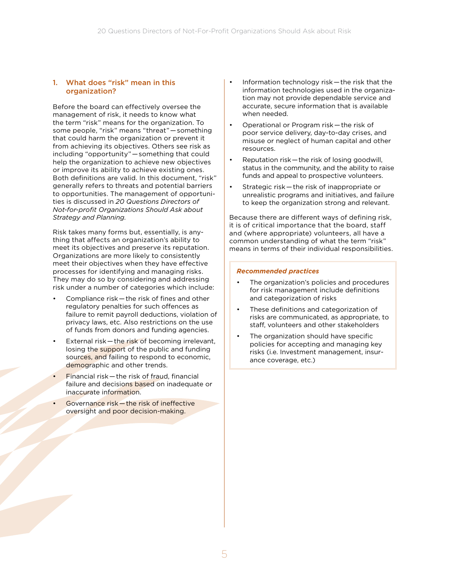### 1. What does "risk" mean in this organization?

Before the board can effectively oversee the management of risk, it needs to know what the term "risk" means for the organization. To some people, "risk" means "threat" — something that could harm the organization or prevent it from achieving its objectives. Others see risk as including "opportunity" — something that could help the organization to achieve new objectives or improve its ability to achieve existing ones. Both definitions are valid. In this document, "risk" generally refers to threats and potential barriers to opportunities. The management of opportuni ties is discussed in *20 Questions Directors of Not-for-profit Organizations Should Ask about Strategy and Planning.*

Risk takes many forms but, essentially, is any thing that affects an organization's ability to meet its objectives and preserve its reputation. Organizations are more likely to consistently meet their objectives when they have effective processes for identifying and managing risks. They may do so by considering and addressing risk under a number of categories which include:

- Compliance risk-the risk of fines and other regulatory penalties for such offences as failure to remit payroll deductions, violation of privacy laws, etc. Also restrictions on the use of funds from donors and funding agencies.
- External risk the risk of becoming irrelevant, losing the support of the public and funding sources, and failing to respond to economic, demographic and other trends.
- $\overline{\text{Financial risk}} \text{the risk of }$  fraud, financial failure and decisions based on inadequate or inaccurate information.
- Governance risk the risk of ineffective oversight and poor decision-making.
- Information technology risk the risk that the information technologies used in the organiza tion may not provide dependable service and accurate, secure information that is available when needed.
- Operational or Program risk the risk of poor service delivery, day-to-day crises, and misuse or neglect of human capital and other resources.
- Reputation risk the risk of losing goodwill, status in the community, and the ability to raise funds and appeal to prospective volunteers.
- Strategic risk the risk of inappropriate or unrealistic programs and initiatives, and failure to keep the organization strong and relevant.

Because there are different ways of defining risk, it is of critical importance that the board, staff and (where appropriate) volunteers, all have a common understanding of what the term "risk" means in terms of their individual responsibilities.

#### *Recommended practices*

- The organization's policies and procedures for risk management include definitions and categorization of risks
- These definitions and categorization of risks are communicated, as appropriate, to staff, volunteers and other stakeholders
- The organization should have specific policies for accepting and managing key risks (i.e. Investment management, insur ance coverage, etc.)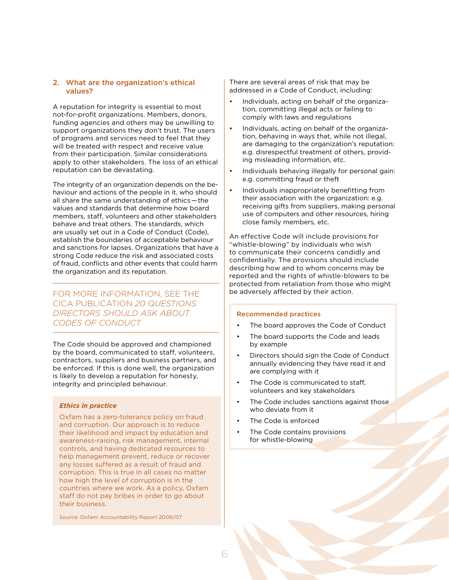#### 2. What are the organization's ethical values?

A reputation for integrity is essential to most not-for-profit organizations. Members, donors, funding agencies and others may be unwilling to support organizations they don't trust. The users of programs and services need to feel that they will be treated with respect and receive value from their participation. Similar considerations apply to other stakeholders. The loss of an ethical reputation can be devastating.

The integrity of an organization depends on the be haviour and actions of the people in it, who should all share the same understanding of ethics — the values and standards that determine how board members, staff, volunteers and other stakeholders behave and treat others. The standards, which are usually set out in a Code of Conduct (Code), establish the boundaries of acceptable behaviour and sanctions for lapses. Organizations that have a strong Code reduce the risk and associated costs of fraud, conflicts and other events that could harm the organization and its reputation.

FOR MORe iNFORMAtiON, See the cicA PuBlicAtiON *20 Questions Directors shoulD Ask About coDes of conDuct*

The Code should be approved and championed by the board, communicated to staff, volunteers, contractors, suppliers and business partners, and be enforced. If this is done well, the organization is likely to develop a reputation for honesty, integrity and principled behaviour.

#### *Ethics in practice*

Oxfam has a zero-tolerance policy on fraud and corruption. Our approach is to reduce their likelihood and impact by education and awareness-raising, risk management, internal controls, and having dedicated resources to help management prevent, reduce or recover any losses suffered as a result of fraud and corruption. This is true in all cases no matter how high the level of corruption is in the countries where we work. As a policy, Oxfam staff do not pay bribes in order to go about their business.

Source: Oxfam: Accountability Report 2006/07

There are several areas of risk that may be addressed in a Code of Conduct, including:

- Individuals, acting on behalf of the organiza tion, committing illegal acts or failing to comply with laws and regulations
- Individuals, acting on behalf of the organiza tion, behaving in ways that, while not illegal, are damaging to the organization's reputation: e.g. disrespectful treatment of others, provid ing misleading information, etc.
- Individuals behaving illegally for personal gain: e.g. committing fraud or theft
- Individuals inappropriately benefitting from their association with the organization: e.g. receiving gifts from suppliers, making personal use of computers and other resources, hiring close family members, etc.

An effective Code will include provisions for "whistle-blowing" by individuals who wish to communicate their concerns candidly and confidentially. The provisions should include describing how and to whom concerns may be reported and the rights of whistle-blowers to be protected from retaliation from those who might be adversely affected by their action.

#### Recommended practices

- The board approves the Code of Conduct
- The board supports the Code and leads by example
- Directors should sign the Code of Conduct annually evidencing they have read it and are complying with it
- The Code is communicated to staff, volunteers and key stakeholders
- The Code includes sanctions against those who deviate from it
- The Code is enforced
- The Code contains provisions for whistle-blowing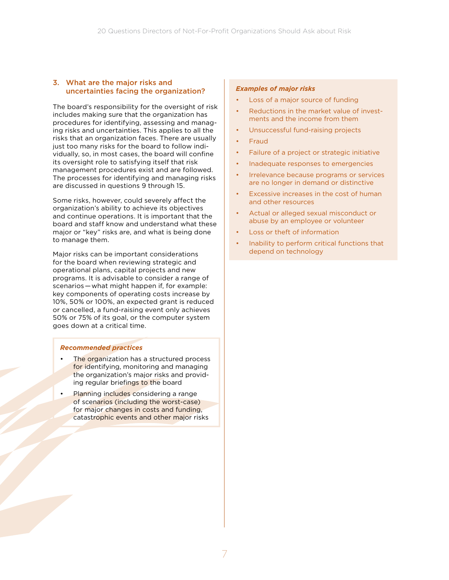#### 3. What are the major risks and uncertainties facing the organization?

The board's responsibility for the oversight of risk includes making sure that the organization has procedures for identifying, assessing and manag ing risks and uncertainties. This applies to all the risks that an organization faces. There are usually just too many risks for the board to follow individually, so, in most cases, the board will confine its oversight role to satisfying itself that risk management procedures exist and are followed. The processes for identifying and managing risks are discussed in questions 9 through 15.

Some risks, however, could severely affect the organization's ability to achieve its objectives and continue operations. It is important that the board and staff know and understand what these major or "key" risks are, and what is being done to manage them.

Major risks can be important considerations for the board when reviewing strategic and operational plans, capital projects and new programs. It is advisable to consider a range of scenarios — what might happen if, for example: key components of operating costs increase by 10%, 50% or 100%, an expected grant is reduced or cancelled, a fund-raising event only achieves 50% or 75% of its goal, or the computer system goes down at a critical time.

#### *Recommended practices*

- The organization has a structured process for identifying, monitoring and managing the organization's major risks and provid ing regular briefings to the board
- Planning includes considering a range of scenarios (including the worst-case) for major changes in costs and funding, catastrophic events and other major risks

#### *Examples of major risks*

- Loss of a major source of funding
- Reductions in the market value of invest ments and the income from them
- Unsuccessful fund-raising projects
- **Fraud**
- Failure of a project or strategic initiative
- Inadequate responses to emergencies
- Irrelevance because programs or services are no longer in demand or distinctive
- Excessive increases in the cost of human and other resources
- Actual or alleged sexual misconduct or abuse by an employee or volunteer
- Loss or theft of information
- Inability to perform critical functions that depend on technology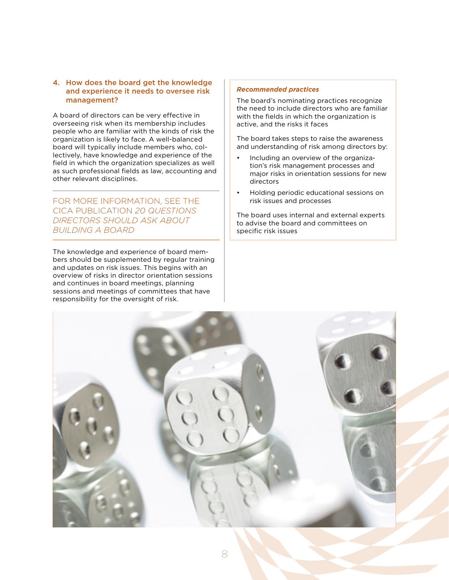#### 4. How does the board get the knowledge and experience it needs to oversee risk management?

A board of directors can be very effective in overseeing risk when its membership includes people who are familiar with the kinds of risk the organization is likely to face. A well-balanced board will typically include members who, col lectively, have knowledge and experience of the field in which the organization specializes as well as such professional fields as law, accounting and other relevant disciplines.

# FOR MORe iNFORMAtiON, See the cicA PuBlicAtiON *20 Questions Directors shoulD Ask About builDing A boArD*

The knowledge and experience of board mem bers should be supplemented by regular training and updates on risk issues. This begins with an overview of risks in director orientation sessions and continues in board meetings, planning sessions and meetings of committees that have responsibility for the oversight of risk.

#### *Recommended practices*

The board's nominating practices recognize the need to include directors who are familiar with the fields in which the organization is active, and the risks it faces

The board takes steps to raise the awareness and understanding of risk among directors by:

- Including an overview of the organization's risk management processes and major risks in orientation sessions for new directors
- Holding periodic educational sessions on risk issues and processes •

The board uses internal and external experts to advise the board and committees on specific risk issues

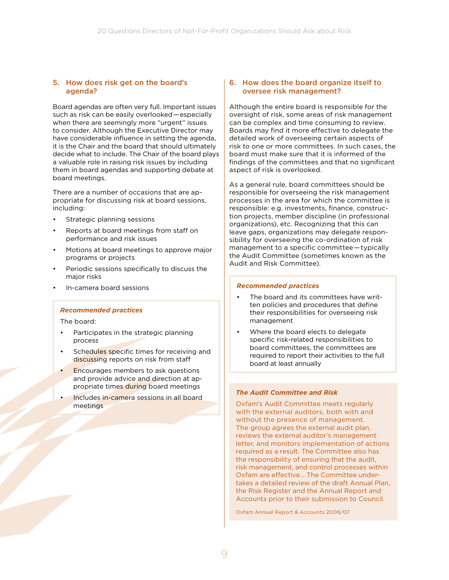#### 5. How does risk get on the board's agenda?

Board agendas are often very full. Important issues such as risk can be easily overlooked — especially when there are seemingly more "urgent" issues to consider. Although the Executive Director may have considerable influence in setting the agenda, it is the Chair and the board that should ultimately decide what to include. The Chair of the board plays a valuable role in raising risk issues by including them in board agendas and supporting debate at board meetings.

There are a number of occasions that are ap propriate for discussing risk at board sessions, including:

- Strategic planning sessions
- Reports at board meetings from staff on performance and risk issues
- Motions at board meetings to approve major programs or projects
- Periodic sessions specifically to discuss the major risks
- In-camera board sessions

#### *Recommended practices*

The board:

- Participates in the strategic planning process
- Schedules specific times for receiving and discussing reports on risk from staff
- Encourages members to ask questions and provide advice and direction at appropriate times during board meetings
- Includes in-camera sessions in all board meetings

### 6. How does the board organize itself to oversee risk management?

Although the entire board is responsible for the oversight of risk, some areas of risk management can be complex and time consuming to review. Boards may find it more effective to delegate the detailed work of overseeing certain aspects of risk to one or more committees. In such cases, the board must make sure that it is informed of the findings of the committees and that no significant aspect of risk is overlooked.

As a general rule, board committees should be responsible for overseeing the risk management processes in the area for which the committee is responsible: e.g. investments, finance, construc tion projects, member discipline (in professional organizations), etc. Recognizing that this can leave gaps, organizations may delegate respon sibility for overseeing the co-ordination of risk management to a specific committee — typically the Audit Committee (sometimes known as the Audit and Risk Committee).

#### *Recommended practices*

- The board and its committees have writ ten policies and procedures that define their responsibilities for overseeing risk management
- Where the board elects to delegate specific risk-related responsibilities to board committees, the committees are required to report their activities to the full board at least annually

#### *The Audit Committee and Risk*

Oxfam's Audit Committee meets regularly with the external auditors, both with and without the presence of management. The group agrees the external audit plan, reviews the external auditor's management letter, and monitors implementation of actions required as a result. The Committee also has the responsibility of ensuring that the audit, risk management, and control processes within Oxfam are effective... The Committee undertakes a detailed review of the draft Annual Plan, the Risk Register and the Annual Report and Accounts prior to their submission to Council.

Oxfam Annual Report & Accounts 2006/07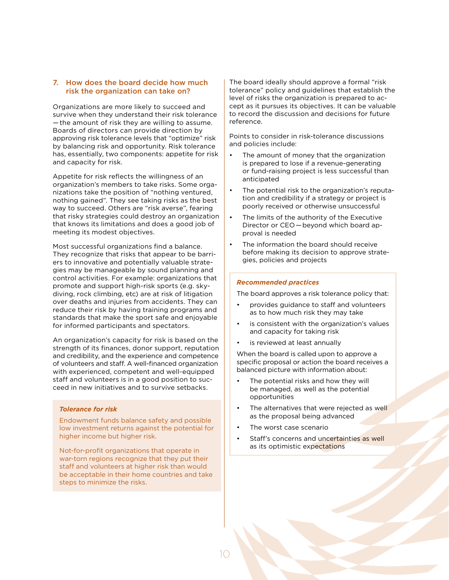#### 7. How does the board decide how much risk the organization can take on?

Organizations are more likely to succeed and survive when they understand their risk tolerance — the amount of risk they are willing to assume. Boards of directors can provide direction by approving risk tolerance levels that "optimize" risk by balancing risk and opportunity. Risk tolerance has, essentially, two components: appetite for risk and capacity for risk.

Appetite for risk reflects the willingness of an organization's members to take risks. Some orga nizations take the position of "nothing ventured, nothing gained". They see taking risks as the best way to succeed. Others are "risk averse", fearing that risky strategies could destroy an organization that knows its limitations and does a good job of meeting its modest objectives.

Most successful organizations find a balance. They recognize that risks that appear to be barri ers to innovative and potentially valuable strate gies may be manageable by sound planning and control activities. For example: organizations that promote and support high-risk sports (e.g. sky diving, rock climbing, etc) are at risk of litigation over deaths and injuries from accidents. They can reduce their risk by having training programs and standards that make the sport safe and enjoyable for informed participants and spectators.

An organization's capacity for risk is based on the strength of its finances, donor support, reputation and credibility, and the experience and competence of volunteers and staff. A well-financed organization with experienced, competent and well-equipped staff and volunteers is in a good position to suc ceed in new initiatives and to survive setbacks.

#### *Tolerance for risk*

Endowment funds balance safety and possible low investment returns against the potential for higher income but higher risk.

Not-for-profit organizations that operate in war-torn regions recognize that they put their staff and volunteers at higher risk than would be acceptable in their home countries and take steps to minimize the risks.

The board ideally should approve a formal "risk tolerance" policy and guidelines that establish the level of risks the organization is prepared to ac cept as it pursues its objectives. It can be valuable to record the discussion and decisions for future reference.

Points to consider in risk-tolerance discussions and policies include:

- The amount of money that the organization is prepared to lose if a revenue-generating or fund-raising project is less successful than anticipated
- The potential risk to the organization's reputa tion and credibility if a strategy or project is poorly received or otherwise unsuccessful
- The limits of the authority of the Executive Director or CEO — beyond which board ap proval is needed
- The information the board should receive before making its decision to approve strate gies, policies and projects

#### *Recommended practices*

The board approves a risk tolerance policy that:

- provides guidance to staff and volunteers as to how much risk they may take
- is consistent with the organization's values and capacity for taking risk
- is reviewed at least annually

When the board is called upon to approve a specific proposal or action the board receives a balanced picture with information about:

- The potential risks and how they will be managed, as well as the potential opportunities
- The alternatives that were rejected as well as the proposal being advanced
- The worst case scenario
- Staff's concerns and uncertainties as well as its optimistic expectations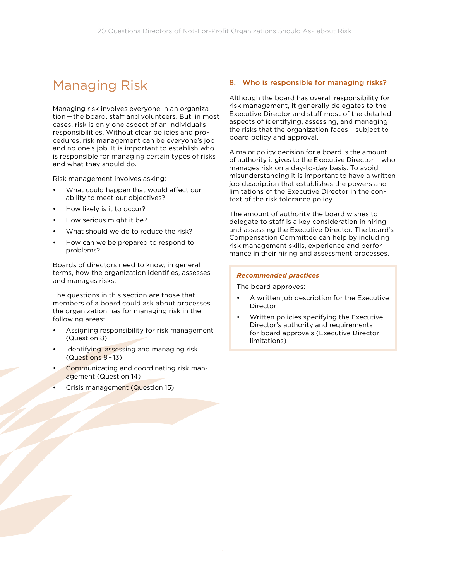# Managing Risk

Managing risk involves everyone in an organiza tion — the board, staff and volunteers. But, in most cases, risk is only one aspect of an individual's responsibilities. Without clear policies and procedures, risk management can be everyone's job and no one's job. It is important to establish who is responsible for managing certain types of risks and what they should do.

Risk management involves asking:

- What could happen that would affect our ability to meet our objectives?
- How likely is it to occur?
- How serious might it be?
- What should we do to reduce the risk?
- How can we be prepared to respond to problems?

Boards of directors need to know, in general terms, how the organization identifies, assesses and manages risks.

The questions in this section are those that members of a board could ask about processes the organization has for managing risk in the following areas:

- Assigning responsibility for risk management (Question 8)
- Identifying, assessing and managing risk (Questions 9 – 13)
- Communicating and coordinating risk management (Question 14)
- Crisis management (Question 15)

### 8. Who is responsible for managing risks?

Although the board has overall responsibility for risk management, it generally delegates to the Executive Director and staff most of the detailed aspects of identifying, assessing, and managing the risks that the organization faces — subject to board policy and approval.

A major policy decision for a board is the amount of authority it gives to the Executive Director — who manages risk on a day-to-day basis. To avoid misunderstanding it is important to have a written job description that establishes the powers and limitations of the Executive Director in the con text of the risk tolerance policy.

The amount of authority the board wishes to delegate to staff is a key consideration in hiring and assessing the Executive Director. The board's Compensation Committee can help by including risk management skills, experience and perfor mance in their hiring and assessment processes.

#### *Recommended practices*

The board approves:

- A written job description for the Executive Director
- Written policies specifying the Executive Director's authority and requirements for board approvals (Executive Director limitations)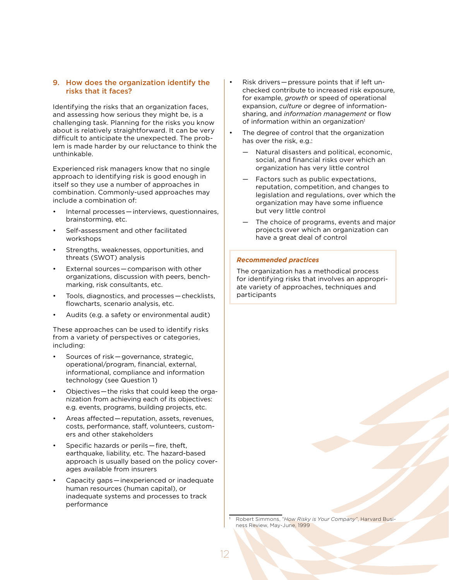#### 9. How does the organization identify the risks that it faces?

Identifying the risks that an organization faces, and assessing how serious they might be, is a challenging task. Planning for the risks you know about is relatively straightforward. It can be very difficult to anticipate the unexpected. The prob lem is made harder by our reluctance to think the unthinkable.

Experienced risk managers know that no single approach to identifying risk is good enough in itself so they use a number of approaches in combination. Commonly-used approaches may include a combination of:

- Internal processes interviews, questionnaires, brainstorming, etc.
- Self-assessment and other facilitated workshops
- Strengths, weaknesses, opportunities, and threats (SWOT) analysis
- External sources comparison with other organizations, discussion with peers, bench marking, risk consultants, etc.
- Tools, diagnostics, and processes checklists, flowcharts, scenario analysis, etc.
- Audits (e.g. a safety or environmental audit)

These approaches can be used to identify risks from a variety of perspectives or categories, including:

- Sources of risk governance, strategic, operational/program, financial, external, informational, compliance and information technology (see Question 1)
- Objectives the risks that could keep the orga nization from achieving each of its objectives: e.g. events, programs, building projects, etc.
- Areas affected reputation, assets, revenues, costs, performance, staff, volunteers, custom ers and other stakeholders
- Specific hazards or perils fire, theft, earthquake, liability, etc. The hazard-based approach is usually based on the policy cover ages available from insurers
- Capacity gaps inexperienced or inadequate human resources (human capital), or inadequate systems and processes to track performance
- Risk drivers pressure points that if left un checked contribute to increased risk exposure, for example, *growth* or speed of operational expansion, *culture* or degree of informationsharing, and *information management* or flow of information within an organization<sup>1</sup>
- The degree of control that the organization has over the risk, e.g.:
	- Natural disasters and political, economic, social, and financial risks over which an organization has very little control
	- Factors such as public expectations, reputation, competition, and changes to legislation and regulations, over which the organization may have some influence but very little control
	- The choice of programs, events and major projects over which an organization can have a great deal of control

#### *Recommended practices*

The organization has a methodical process for identifying risks that involves an appropri ate variety of approaches, techniques and participants

<sup>1</sup> Robert Simmons, "How Risky is Your Company", Harvard Business Review, May-June, 1999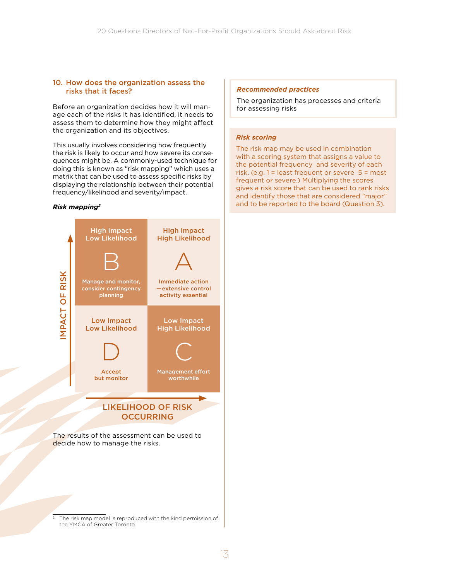#### 10. How does the organization assess the risks that it faces?

Before an organization decides how it will man age each of the risks it has identified, it needs to assess them to determine how they might affect the organization and its objectives.

This usually involves considering how frequently the risk is likely to occur and how severe its conse quences might be. A commonly-used technique for doing this is known as "risk mapping" which uses a matrix that can be used to assess specific risks by displaying the relationship between their potential frequency/likelihood and severity/impact.

#### *Risk mapping2*



<sup>2</sup> The risk map model is reproduced with the kind permission of the YMCA of Greater Toronto.

#### *Recommended practices*

The organization has processes and criteria for assessing risks

#### *Risk scoring*

The risk map may be used in combination with a scoring system that assigns a value to the potential frequency and severity of each risk. (e.g.  $1 =$  least frequent or severe  $5 =$  most frequent or severe.) Multiplying the scores gives a risk score that can be used to rank risks and identify those that are considered "major" and to be reported to the board (Question 3).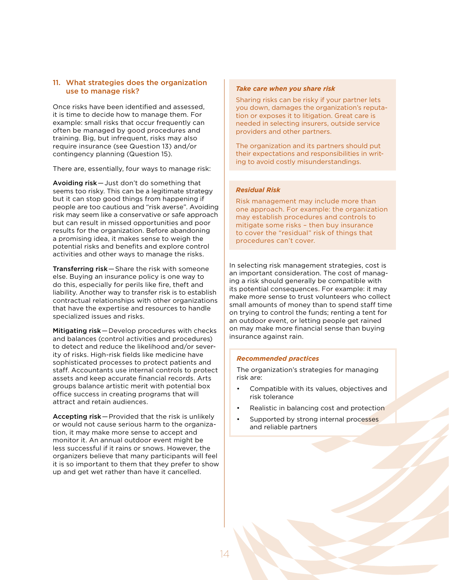#### 11. What strategies does the organization use to manage risk?

Once risks have been identified and assessed, it is time to decide how to manage them. For example: small risks that occur frequently can often be managed by good procedures and training. Big, but infrequent, risks may also require insurance (see Question 13) and/or contingency planning (Question 15).

There are, essentially, four ways to manage risk:

avoiding risk — Just don't do something that seems too risky. This can be a legitimate strategy but it can stop good things from happening if people are too cautious and "risk averse". Avoiding risk may seem like a conservative or safe approach but can result in missed opportunities and poor results for the organization. Before abandoning a promising idea, it makes sense to weigh the potential risks and benefits and explore control activities and other ways to manage the risks.

**Transferring risk – Share the risk with someone** else. Buying an insurance policy is one way to do this, especially for perils like fire, theft and liability. Another way to transfer risk is to establish contractual relationships with other organizations that have the expertise and resources to handle specialized issues and risks.

Mitigating risk - Develop procedures with checks and balances (control activities and procedures) to detect and reduce the likelihood and/or sever ity of risks. High-risk fields like medicine have sophisticated processes to protect patients and staff. Accountants use internal controls to protect assets and keep accurate financial records. Arts groups balance artistic merit with potential box office success in creating programs that will attract and retain audiences.

Accepting risk - Provided that the risk is unlikely or would not cause serious harm to the organiza tion, it may make more sense to accept and monitor it. An annual outdoor event might be less successful if it rains or snows. However, the organizers believe that many participants will feel it is so important to them that they prefer to show up and get wet rather than have it cancelled.

#### *Take care when you share risk*

Sharing risks can be risky if your partner lets you down, damages the organization's reputa tion or exposes it to litigation. Great care is needed in selecting insurers, outside service providers and other partners.

The organization and its partners should put their expectations and responsibilities in writ ing to avoid costly misunderstandings.

#### *Residual Risk*

Risk management may include more than one approach. For example: the organization may establish procedures and controls to mitigate some risks – then buy insurance to cover the "residual" risk of things that procedures can't cover.

In selecting risk management strategies, cost is an important consideration. The cost of manag ing a risk should generally be compatible with its potential consequences. For example: it may make more sense to trust volunteers who collect small amounts of money than to spend staff time on trying to control the funds; renting a tent for an outdoor event, or letting people get rained on may make more financial sense than buying insurance against rain.

#### *Recommended practices*

The organization's strategies for managing risk are:

- Compatible with its values, objectives and risk tolerance
- Realistic in balancing cost and protection
- Supported by strong internal processes and reliable partners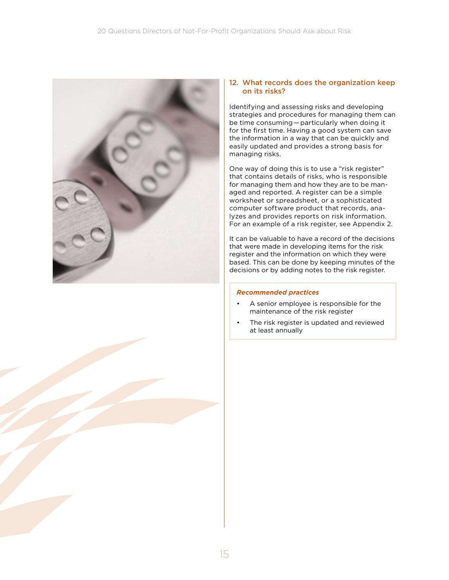

#### 12. What records does the organization keep on its risks?

Identifying and assessing risks and developing strategies and procedures for managing them can be time consuming — particularly when doing it for the first time. Having a good system can save the information in a way that can be quickly and easily updated and provides a strong basis for managing risks.

One way of doing this is to use a "risk register" that contains details of risks, who is responsible for managing them and how they are to be man aged and reported. A register can be a simple worksheet or spreadsheet, or a sophisticated computer software product that records, ana lyzes and provides reports on risk information. For an example of a risk register, see Appendix 2.

It can be valuable to have a record of the decisions that were made in developing items for the risk register and the information on which they were based. This can be done by keeping minutes of the decisions or by adding notes to the risk register.

#### *Recommended practices*

- A senior employee is responsible for the maintenance of the risk register
- The risk register is updated and reviewed at least annually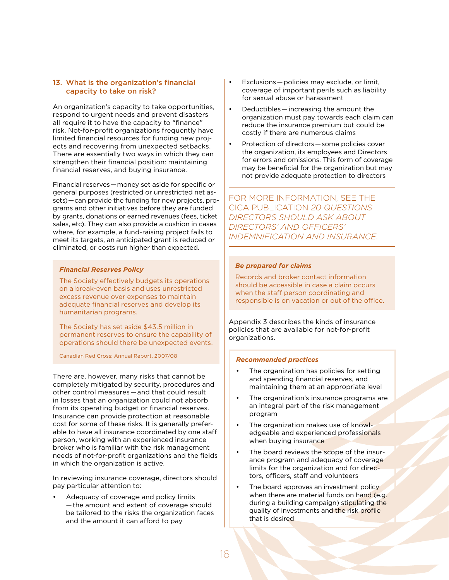#### 13. What is the organization's financial capacity to take on risk?

An organization's capacity to take opportunities, respond to urgent needs and prevent disasters all require it to have the capacity to "finance" risk. Not-for-profit organizations frequently have limited financial resources for funding new proj ects and recovering from unexpected setbacks. There are essentially two ways in which they can strengthen their financial position: maintaining financial reserves, and buying insurance.

Financial reserves — money set aside for specific or general purposes (restricted or unrestricted net as sets) — can provide the funding for new projects, pro grams and other initiatives before they are funded by grants, donations or earned revenues (fees, ticket sales, etc). They can also provide a cushion in cases where, for example, a fund-raising project fails to meet its targets, an anticipated grant is reduced or eliminated, or costs run higher than expected.

#### *Financial Reserves Policy*

The Society effectively budgets its operations on a break-even basis and uses unrestricted excess revenue over expenses to maintain adequate financial reserves and develop its humanitarian programs.

The Society has set aside \$43.5 million in permanent reserves to ensure the capability of operations should there be unexpected events.

Canadian Red Cross: Annual Report, 2007/08

There are, however, many risks that cannot be completely mitigated by security, procedures and other control measures — and that could result in losses that an organization could not absorb from its operating budget or financial reserves. Insurance can provide protection at reasonable cost for some of these risks. It is generally prefer able to have all insurance coordinated by one staff person, working with an experienced insurance broker who is familiar with the risk management needs of not-for-profit organizations and the fields in which the organization is active.

In reviewing insurance coverage, directors should pay particular attention to:

• Adequacy of coverage and policy limits — the amount and extent of coverage should be tailored to the risks the organization faces and the amount it can afford to pay

- Exclusions policies may exclude, or limit, coverage of important perils such as liability for sexual abuse or harassment
- Deductibles increasing the amount the organization must pay towards each claim can reduce the insurance premium but could be costly if there are numerous claims
- Protection of directors some policies cover the organization, its employees and Directors for errors and omissions. This form of coverage may be beneficial for the organization but may not provide adequate protection to directors

FOR MORE INFORMATION, SEE THE cicA PuBlicAtiON *20 Questions Directors shoulD Ask About Directors' AnD officers' inDemnificAtion AnD insurAnce*.

#### *Be prepared for claims*

Records and broker contact information should be accessible in case a claim occurs when the staff person coordinating and responsible is on vacation or out of the office.

Appendix 3 describes the kinds of insurance policies that are available for not-for-profit organizations.

#### *Recommended practices*

- The organization has policies for setting and spending financial reserves, and maintaining them at an appropriate level
- The organization's insurance programs are an integral part of the risk management program
- The organization makes use of knowledgeable and experienced professionals when buving insurance
- The board reviews the scope of the insurance program and adequacy of coverage limits for the organization and for directors, officers, staff and volunteers
- The board approves an investment policy when there are material funds on hand (e.g. during a building campaign) stipulating the quality of investments and the risk profile that is desired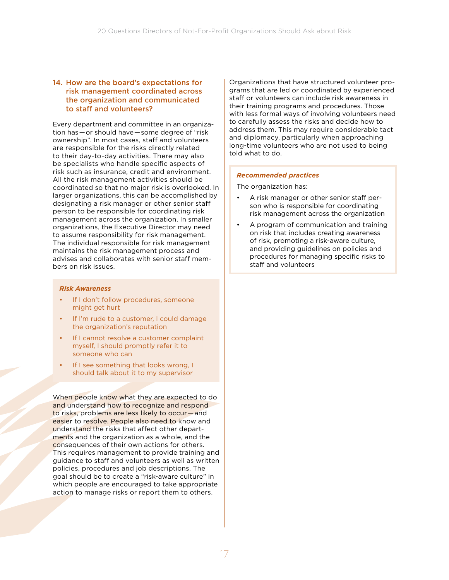#### 14. How are the board's expectations for risk management coordinated across the organization and communicated to staff and volunteers?

Every department and committee in an organiza tion has — or should have — some degree of "risk ownership". In most cases, staff and volunteers are responsible for the risks directly related to their day-to-day activities. There may also be specialists who handle specific aspects of risk such as insurance, credit and environment. All the risk management activities should be coordinated so that no major risk is overlooked. In larger organizations, this can be accomplished by designating a risk manager or other senior staff person to be responsible for coordinating risk management across the organization. In smaller organizations, the Executive Director may need to assume responsibility for risk management. The individual responsible for risk management maintains the risk management process and advises and collaborates with senior staff mem bers on risk issues.

#### *Risk Awareness*

- If I don't follow procedures, someone might get hurt
- If I'm rude to a customer, I could damage the organization's reputation
- If I cannot resolve a customer complaint myself, I should promptly refer it to someone who can
- If I see something that looks wrong, I should talk about it to my supervisor

When people know what they are expected to do and understand how to recognize and respond to risks, problems are less likely to occur — and easier to resolve. People also need to know and understand the risks that affect other departments and the organization as a whole, and the consequences of their own actions for others. This requires management to provide training and guidance to staff and volunteers as well as written policies, procedures and job descriptions. The goal should be to create a "risk-aware culture" in which people are encouraged to take appropriate action to manage risks or report them to others.

Organizations that have structured volunteer pro grams that are led or coordinated by experienced staff or volunteers can include risk awareness in their training programs and procedures. Those with less formal ways of involving volunteers need to carefully assess the risks and decide how to address them. This may require considerable tact and diplomacy, particularly when approaching long-time volunteers who are not used to being told what to do.

#### *Recommended practices*

The organization has:

- A risk manager or other senior staff per son who is responsible for coordinating risk management across the organization
- A program of communication and training on risk that includes creating awareness of risk, promoting a risk-aware culture, and providing guidelines on policies and procedures for managing specific risks to staff and volunteers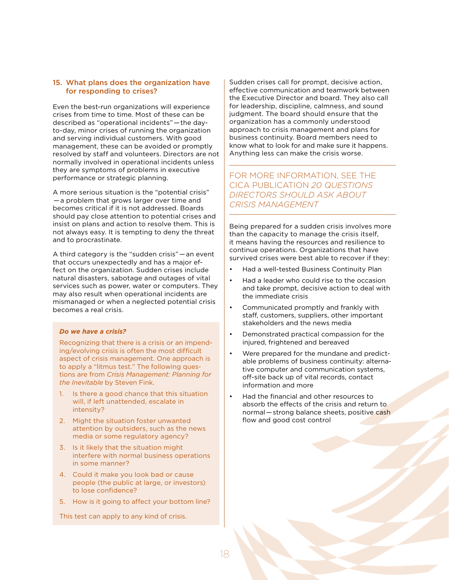#### 15. What plans does the organization have for responding to crises?

Even the best-run organizations will experience crises from time to time. Most of these can be described as "operational incidents" — the dayto-day, minor crises of running the organization and serving individual customers. With good management, these can be avoided or promptly resolved by staff and volunteers. Directors are not normally involved in operational incidents unless they are symptoms of problems in executive performance or strategic planning.

A more serious situation is the "potential crisis" — a problem that grows larger over time and becomes critical if it is not addressed. Boards should pay close attention to potential crises and insist on plans and action to resolve them. This is not always easy. It is tempting to deny the threat and to procrastinate.

A third category is the "sudden crisis" — an event that occurs unexpectedly and has a major effect on the organization. Sudden crises include natural disasters, sabotage and outages of vital services such as power, water or computers. They may also result when operational incidents are mismanaged or when a neglected potential crisis becomes a real crisis.

#### *Do we have a crisis?*

Recognizing that there is a crisis or an impend ing/evolving crisis is often the most difficult aspect of crisis management. One approach is to apply a "litmus test." The following ques tions are from *Crisis Management: Planning for the Inevitable* by Steven Fink.

- 1. Is there a good chance that this situation will, if left unattended, escalate in intensity?
- 2. Might the situation foster unwanted attention by outsiders, such as the news media or some regulatory agency?
- 3. Is it likely that the situation might interfere with normal business operations in some manner?
- 4. Could it make you look bad or cause people (the public at large, or investors) to lose confidence?
- 5. How is it going to affect your bottom line?

This test can apply to any kind of crisis.

Sudden crises call for prompt, decisive action, effective communication and teamwork between the Executive Director and board. They also call for leadership, discipline, calmness, and sound judgment. The board should ensure that the organization has a commonly understood approach to crisis management and plans for business continuity. Board members need to know what to look for and make sure it happens. Anything less can make the crisis worse.

FOR MORe iNFORMAtiON, See the cicA PuBlicAtiON *20 Questions Directors shoulD Ask About crisis mAnAgement*

Being prepared for a sudden crisis involves more than the capacity to manage the crisis itself, it means having the resources and resilience to continue operations. Organizations that have survived crises were best able to recover if they:

- Had a well-tested Business Continuity Plan
- Had a leader who could rise to the occasion and take prompt, decisive action to deal with the immediate crisis
- Communicated promptly and frankly with staff, customers, suppliers, other important stakeholders and the news media
- Demonstrated practical compassion for the injured, frightened and bereaved
- Were prepared for the mundane and predict able problems of business continuity: alterna tive computer and communication systems, off-site back up of vital records, contact information and more
- Had the financial and other resources to absorb the effects of the crisis and return to normal — strong balance sheets, positive cash flow and good cost control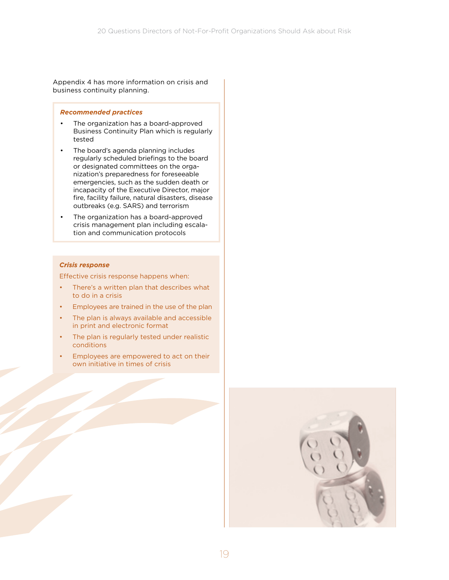Appendix 4 has more information on crisis and business continuity planning.

#### *Recommended practices*

- The organization has a board-approved Business Continuity Plan which is regularly tested
- The board's agenda planning includes regularly scheduled briefings to the board or designated committees on the orga nization's preparedness for foreseeable emergencies, such as the sudden death or incapacity of the Executive Director, major fire, facility failure, natural disasters, disease outbreaks (e.g. SARS) and terrorism
- The organization has a board-approved crisis management plan including escala tion and communication protocols

#### *Crisis response*

Effective crisis response happens when:

- There's a written plan that describes what to do in a crisis
- Employees are trained in the use of the plan
- The plan is always available and accessible in print and electronic format
- The plan is regularly tested under realistic conditions
- Employees are empowered to act on their own initiative in times of crisis

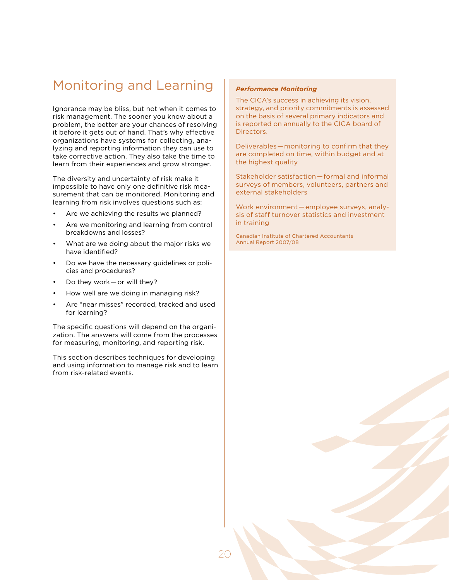# Monitoring and Learning

Ignorance may be bliss, but not when it comes to risk management. The sooner you know about a problem, the better are your chances of resolving it before it gets out of hand. That's why effective organizations have systems for collecting, ana lyzing and reporting information they can use to take corrective action. They also take the time to learn from their experiences and grow stronger.

The diversity and uncertainty of risk make it impossible to have only one definitive risk mea surement that can be monitored. Monitoring and learning from risk involves questions such as:

- Are we achieving the results we planned?
- Are we monitoring and learning from control breakdowns and losses?
- What are we doing about the major risks we have identified?
- Do we have the necessary guidelines or poli cies and procedures?
- Do they work or will they?
- How well are we doing in managing risk?
- Are "near misses" recorded, tracked and used for learning?

The specific questions will depend on the organi zation. The answers will come from the processes for measuring, monitoring, and reporting risk.

This section describes techniques for developing and using information to manage risk and to learn from risk-related events.

#### *Performance Monitoring*

The CICA's success in achieving its vision, strategy, and priority commitments is assessed on the basis of several primary indicators and is reported on annually to the CICA board of Directors.

Deliverables — monitoring to confirm that they are completed on time, within budget and at the highest quality

Stakeholder satisfaction — formal and informal surveys of members, volunteers, partners and external stakeholders

Work environment — employee surveys, analy sis of staff turnover statistics and investment in training

Canadian Institute of Chartered Accountants Annual Report 2007/08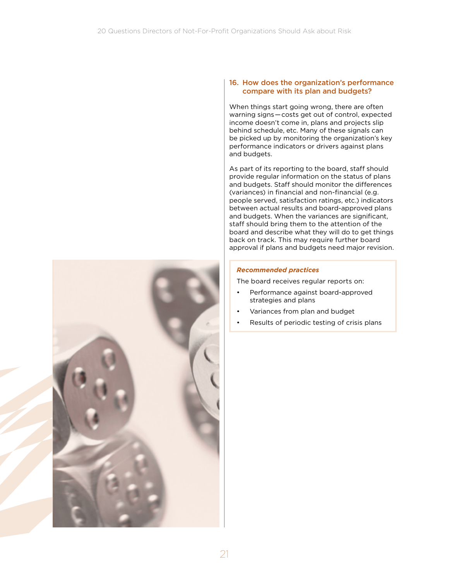

#### 16. How does the organization's performance compare with its plan and budgets?

When things start going wrong, there are often warning signs — costs get out of control, expected income doesn't come in, plans and projects slip behind schedule, etc. Many of these signals can be picked up by monitoring the organization's key performance indicators or drivers against plans and budgets.

As part of its reporting to the board, staff should provide regular information on the status of plans and budgets. Staff should monitor the differences (variances) in financial and non-financial (e.g. people served, satisfaction ratings, etc.) indicators between actual results and board-approved plans and budgets. When the variances are significant, staff should bring them to the attention of the board and describe what they will do to get things back on track. This may require further board approval if plans and budgets need major revision.

#### *Recommended practices*

The board receives regular reports on:

- Performance against board-approved strategies and plans
- Variances from plan and budget
- Results of periodic testing of crisis plans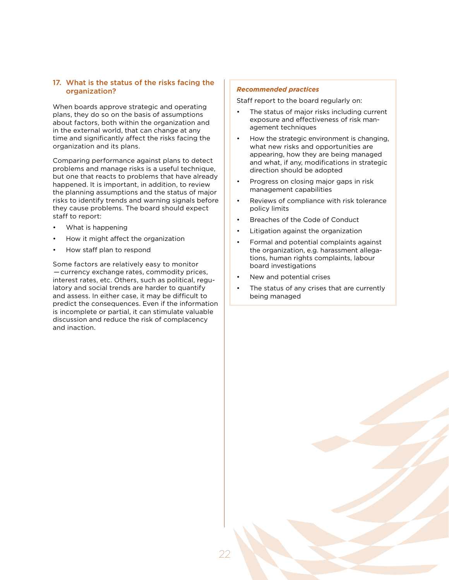#### 17. What is the status of the risks facing the organization?

When boards approve strategic and operating plans, they do so on the basis of assumptions about factors, both within the organization and in the external world, that can change at any time and significantly affect the risks facing the organization and its plans.

Comparing performance against plans to detect problems and manage risks is a useful technique, but one that reacts to problems that have already happened. It is important, in addition, to review the planning assumptions and the status of major risks to identify trends and warning signals before they cause problems. The board should expect staff to report:

- What is happening
- How it might affect the organization
- How staff plan to respond

Some factors are relatively easy to monitor — currency exchange rates, commodity prices, interest rates, etc. Others, such as political, regu latory and social trends are harder to quantify and assess. In either case, it may be difficult to predict the consequences. Even if the information is incomplete or partial, it can stimulate valuable discussion and reduce the risk of complacency and inaction.

#### *Recommended practices*

Staff report to the board regularly on:

- The status of major risks including current exposure and effectiveness of risk man agement techniques
- How the strategic environment is changing, what new risks and opportunities are appearing, how they are being managed and what, if any, modifications in strategic direction should be adopted
- Progress on closing major gaps in risk management capabilities
- Reviews of compliance with risk tolerance policy limits
- Breaches of the Code of Conduct
- Litigation against the organization
- Formal and potential complaints against the organization, e.g. harassment allega tions, human rights complaints, labour board investigations
- New and potential crises
- The status of any crises that are currently being managed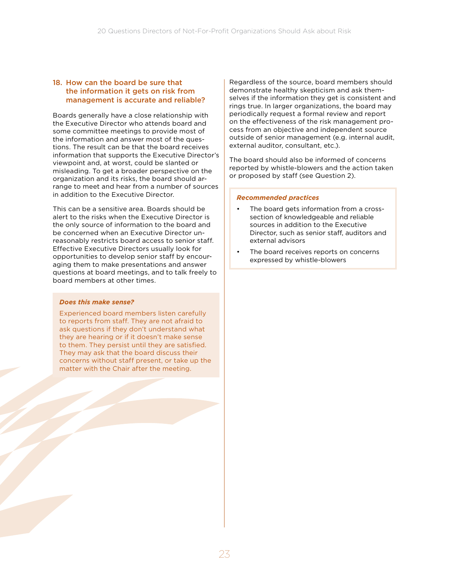### 18. How can the board be sure that the information it gets on risk from management is accurate and reliable?

Boards generally have a close relationship with the Executive Director who attends board and some committee meetings to provide most of the information and answer most of the ques tions. The result can be that the board receives information that supports the Executive Director's viewpoint and, at worst, could be slanted or misleading. To get a broader perspective on the organization and its risks, the board should ar range to meet and hear from a number of sources in addition to the Executive Director.

This can be a sensitive area. Boards should be alert to the risks when the Executive Director is the only source of information to the board and be concerned when an Executive Director un reasonably restricts board access to senior staff. Effective Executive Directors usually look for opportunities to develop senior staff by encour aging them to make presentations and answer questions at board meetings, and to talk freely to board members at other times.

#### *Does this make sense?*

Experienced board members listen carefully to reports from staff. They are not afraid to ask questions if they don't understand what they are hearing or if it doesn't make sense to them. They persist until they are satisfied. They may ask that the board discuss their concerns without staff present, or take up the matter with the Chair after the meeting.

Regardless of the source, board members should demonstrate healthy skepticism and ask them selves if the information they get is consistent and rings true. In larger organizations, the board may periodically request a formal review and report on the effectiveness of the risk management pro cess from an objective and independent source outside of senior management (e.g. internal audit, external auditor, consultant, etc.).

The board should also be informed of concerns reported by whistle-blowers and the action taken or proposed by staff (see Question 2).

#### *Recommended practices*

- The board gets information from a crosssection of knowledgeable and reliable sources in addition to the Executive Director, such as senior staff, auditors and external advisors
- The board receives reports on concerns expressed by whistle-blowers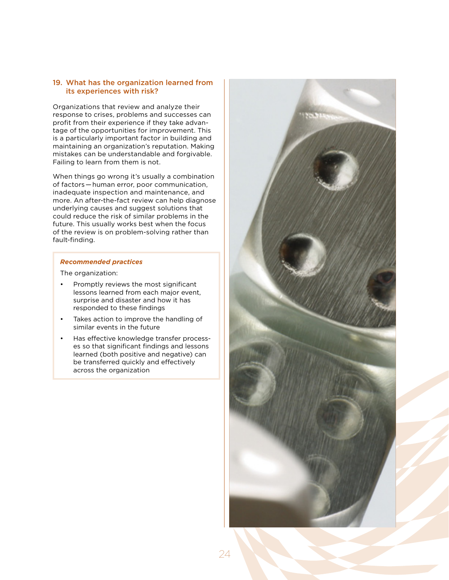#### 19. What has the organization learned from its experiences with risk?

Organizations that review and analyze their response to crises, problems and successes can profit from their experience if they take advan tage of the opportunities for improvement. This is a particularly important factor in building and maintaining an organization's reputation. Making mistakes can be understandable and forgivable. Failing to learn from them is not.

When things go wrong it's usually a combination of factors — human error, poor communication, inadequate inspection and maintenance, and more. An after-the-fact review can help diagnose underlying causes and suggest solutions that could reduce the risk of similar problems in the future. This usually works best when the focus of the review is on problem-solving rather than fault-finding.

#### *Recommended practices*

The organization:

- Promptly reviews the most significant lessons learned from each major event, surprise and disaster and how it has responded to these findings
- Takes action to improve the handling of similar events in the future
- Has effective knowledge transfer process es so that significant findings and lessons learned (both positive and negative) can be transferred quickly and effectively across the organization

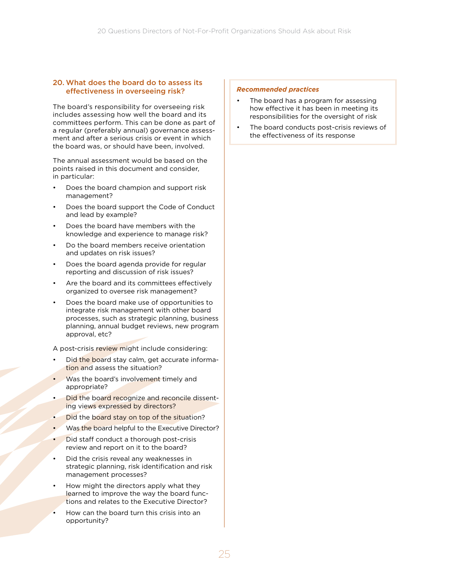### 20. What does the board do to assess its effectiveness in overseeing risk?

The board's responsibility for overseeing risk includes assessing how well the board and its committees perform. This can be done as part of a regular (preferably annual) governance assess ment and after a serious crisis or event in which the board was, or should have been, involved.

The annual assessment would be based on the points raised in this document and consider, in particular:

- Does the board champion and support risk management?
- Does the board support the Code of Conduct and lead by example?
- Does the board have members with the knowledge and experience to manage risk?
- Do the board members receive orientation and updates on risk issues?
- Does the board agenda provide for regular reporting and discussion of risk issues?
- Are the board and its committees effectively organized to oversee risk management?
- Does the board make use of opportunities to integrate risk management with other board processes, such as strategic planning, business planning, annual budget reviews, new program approval, etc?

A post-crisis review might include considering:

- Did the board stay calm, get accurate information and assess the situation?
- Was the board's involvement timely and appropriate?
- Did the board recognize and reconcile dissenting views expressed by directors?
- Did the board stay on top of the situation?
- Was the board helpful to the Executive Director?
- Did staff conduct a thorough post-crisis review and report on it to the board?
- Did the crisis reveal any weaknesses in strategic planning, risk identification and risk management processes?
- How might the directors apply what they learned to improve the way the board functions and relates to the Executive Director?
- How can the board turn this crisis into an opportunity?

#### *Recommended practices*

- The board has a program for assessing how effective it has been in meeting its responsibilities for the oversight of risk
- The board conducts post-crisis reviews of the effectiveness of its response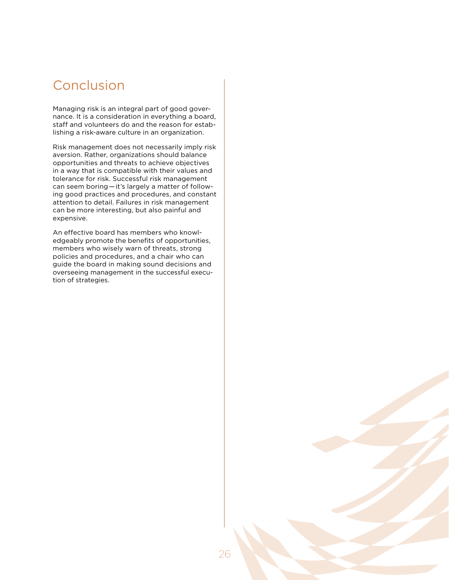# Conclusion

Managing risk is an integral part of good gover nance. It is a consideration in everything a board, staff and volunteers do and the reason for estab lishing a risk-aware culture in an organization.

Risk management does not necessarily imply risk aversion. Rather, organizations should balance opportunities and threats to achieve objectives in a way that is compatible with their values and tolerance for risk. Successful risk management can seem boring - it's largely a matter of following good practices and procedures, and constant attention to detail. Failures in risk management can be more interesting, but also painful and expensive.

An effective board has members who knowl edgeably promote the benefits of opportunities, members who wisely warn of threats, strong policies and procedures, and a chair who can guide the board in making sound decisions and overseeing management in the successful execu tion of strategies.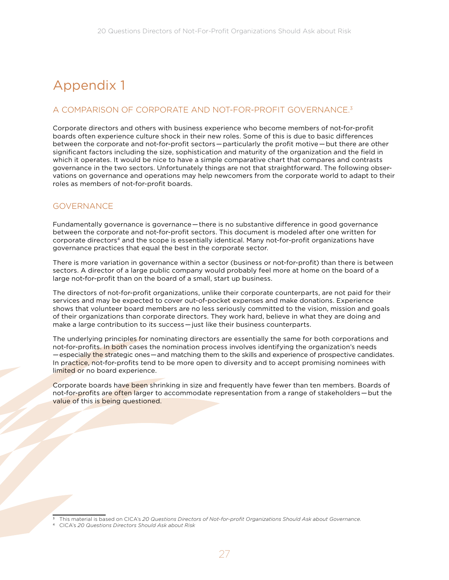# Appendix 1

# A cOMPARiSON OF cORPORAte AND NOt-FOR-PROFit gOveRNANce.3

Corporate directors and others with business experience who become members of not-for-profit boards often experience culture shock in their new roles. Some of this is due to basic differences between the corporate and not-for-profit sectors — particularly the profit motive — but there are other significant factors including the size, sophistication and maturity of the organization and the field in which it operates. It would be nice to have a simple comparative chart that compares and contrasts governance in the two sectors. Unfortunately things are not that straightforward. The following obser vations on governance and operations may help newcomers from the corporate world to adapt to their roles as members of not-for-profit boards.

### GOVERNANCE

Fundamentally governance is governance — there is no substantive difference in good governance between the corporate and not-for-profit sectors. This document is modeled after one written for corporate directors<sup>4</sup> and the scope is essentially identical. Many not-for-profit organizations have governance practices that equal the best in the corporate sector.

There is more variation in governance within a sector (business or not-for-profit) than there is between sectors. A director of a large public company would probably feel more at home on the board of a large not-for-profit than on the board of a small, start up business.

The directors of not-for-profit organizations, unlike their corporate counterparts, are not paid for their services and may be expected to cover out-of-pocket expenses and make donations. Experience shows that volunteer board members are no less seriously committed to the vision, mission and goals of their organizations than corporate directors. They work hard, believe in what they are doing and make a large contribution to its success — just like their business counterparts.

The underlying principles for nominating directors are essentially the same for both corporations and not-for-profits. In both cases the nomination process involves identifying the organization's needs -especially the strategic ones - and matching them to the skills and experience of prospective candidates. In practice, not-for-profits tend to be more open to diversity and to accept promising nominees with limited or no board experience.

Corporate boards have been shrinking in size and frequently have fewer than ten members. Boards of not-for-profits are often larger to accommodate representation from a range of stakeholders - but the value of this is being questioned.

This material is based on CICA's 20 Questions Directors of Not-for-profit Organizations Should Ask about Governance.

<sup>4</sup> cicA's *20 Questions Directors should Ask about risk*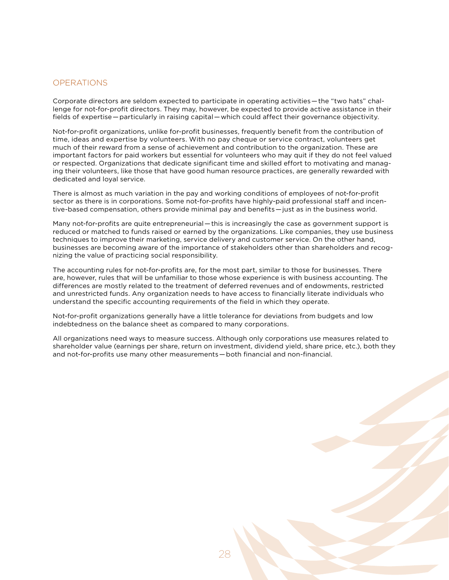### **OPERATIONS**

Corporate directors are seldom expected to participate in operating activities — the "two hats" chal lenge for not-for-profit directors. They may, however, be expected to provide active assistance in their fields of expertise — particularly in raising capital — which could affect their governance objectivity.

Not-for-profit organizations, unlike for-profit businesses, frequently benefit from the contribution of time, ideas and expertise by volunteers. With no pay cheque or service contract, volunteers get much of their reward from a sense of achievement and contribution to the organization. These are important factors for paid workers but essential for volunteers who may quit if they do not feel valued or respected. Organizations that dedicate significant time and skilled effort to motivating and manag ing their volunteers, like those that have good human resource practices, are generally rewarded with dedicated and loyal service.

There is almost as much variation in the pay and working conditions of employees of not-for-profit sector as there is in corporations. Some not-for-profits have highly-paid professional staff and incen tive-based compensation, others provide minimal pay and benefits — just as in the business world.

Many not-for-profits are quite entrepreneurial — this is increasingly the case as government support is reduced or matched to funds raised or earned by the organizations. Like companies, they use business techniques to improve their marketing, service delivery and customer service. On the other hand, businesses are becoming aware of the importance of stakeholders other than shareholders and recog nizing the value of practicing social responsibility.

The accounting rules for not-for-profits are, for the most part, similar to those for businesses. There are, however, rules that will be unfamiliar to those whose experience is with business accounting. The differences are mostly related to the treatment of deferred revenues and of endowments, restricted and unrestricted funds. Any organization needs to have access to financially literate individuals who understand the specific accounting requirements of the field in which they operate.

Not-for-profit organizations generally have a little tolerance for deviations from budgets and low indebtedness on the balance sheet as compared to many corporations.

All organizations need ways to measure success. Although only corporations use measures related to shareholder value (earnings per share, return on investment, dividend yield, share price, etc.), both they and not-for-profits use many other measurements — both financial and non-financial.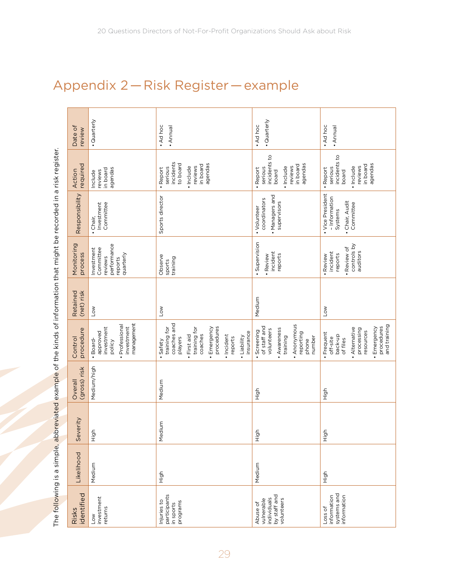| The following is a simple, abbreviated example of the kinds of information that might be recorded in a risk register. | Date of<br>review       | · Quarterly                                                                                         | . Ad hoc<br>· Annual                                                                                                                                                     | · Quarterly<br>. Ad hoc                                                                                         | . Ad hoc<br>· Annual                                                                                                                 |
|-----------------------------------------------------------------------------------------------------------------------|-------------------------|-----------------------------------------------------------------------------------------------------|--------------------------------------------------------------------------------------------------------------------------------------------------------------------------|-----------------------------------------------------------------------------------------------------------------|--------------------------------------------------------------------------------------------------------------------------------------|
|                                                                                                                       | required<br>Action      | agendas<br>Include<br>reviews<br>in board                                                           | incidents<br>to board<br>in board<br>agendas<br>reviews<br>· Include<br>serious<br>Report                                                                                | incidents to<br>agendas<br>in board<br>reviews<br>· Include<br>Report<br>serious<br>board                       | incidents to<br>in board<br>agendas<br>reviews<br>Include<br>serious<br>· Report<br>board                                            |
|                                                                                                                       | Responsibility          | Investment<br>Committee<br>• Chair,                                                                 | Sports director                                                                                                                                                          | • Managers and<br>supervisors<br>coordinators<br>• Volunteer                                                    | · Vice President<br>- Information<br>Chair, Audit<br>Committee<br>Systems                                                            |
|                                                                                                                       | Monitoring<br>process   | performance<br>reports<br>Committee<br>Investment<br>quarterly<br>reviews                           | Observe<br>training<br>sports                                                                                                                                            | Supervision<br>incident<br>reports<br>Review                                                                    | controls by<br>auditors<br>· Review of<br>incident<br>reports<br>· Review                                                            |
|                                                                                                                       | Retained<br>(net) risk  | No7                                                                                                 | $\sum_{i=1}^{n}$                                                                                                                                                         | Medium                                                                                                          | $\sum_{i=1}^{\infty}$                                                                                                                |
|                                                                                                                       | procedure<br>Control    | management<br>Professional<br>investment<br>investment<br>approved<br>Board-<br>policy<br>$\bullet$ | coaches and<br>procedures<br>Emergency<br>training for<br>training for<br>insurance<br>coaches<br>First aid<br>· Incident<br>· Liability<br>reports<br>players<br>Safety | · Anonymous<br>of staff and<br>Awareness<br>volunteers<br>Screening<br>reporting<br>training<br>number<br>phone | · Emergency<br>procedures<br>and training<br>Alternative<br>processing<br>resources<br>· Frequent<br>back-up<br>off-site<br>of files |
|                                                                                                                       | (gross) risk<br>Overall | Medium/high                                                                                         | Medium                                                                                                                                                                   | High                                                                                                            | High                                                                                                                                 |
|                                                                                                                       | Severity                | High                                                                                                | Medium                                                                                                                                                                   | Aigh                                                                                                            | High                                                                                                                                 |
|                                                                                                                       | Likelihood              | Medium                                                                                              | High                                                                                                                                                                     | Medium                                                                                                          | High                                                                                                                                 |
|                                                                                                                       | identified<br>Risks     | investment<br>returns<br>Low                                                                        | participants<br>njuries to<br>in sports<br>programs                                                                                                                      | by staff and<br>individuals<br>vulnerable<br>volunteers<br>Abuse of                                             | systems and<br>information<br>information<br>Loss of                                                                                 |

# Appendix 2 — Risk Register — example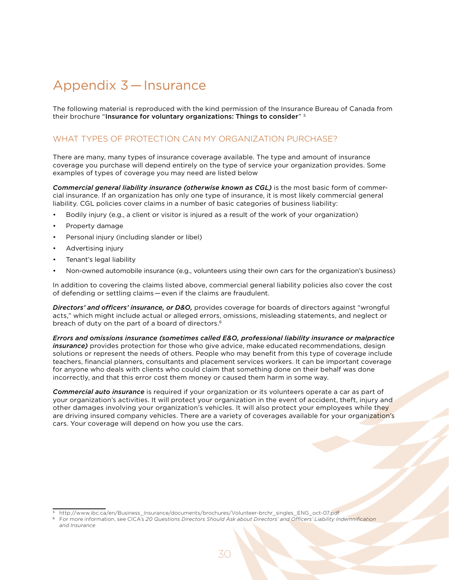# Appendix 3 — Insurance

The following material is reproduced with the kind permission of the Insurance Bureau of Canada from their brochure "Insurance for voluntary organizations: Things to consider" 5

### WHAT TYPES OF PROTECTION CAN MY ORGANIZATION PURCHASE?

There are many, many types of insurance coverage available. The type and amount of insurance coverage you purchase will depend entirely on the type of service your organization provides. Some examples of types of coverage you may need are listed below

*Commercial general liability insurance (otherwise known as CGL)* is the most basic form of commer cial insurance. If an organization has only one type of insurance, it is most likely commercial general liability. CGL policies cover claims in a number of basic categories of business liability:

- Bodily injury (e.g., a client or visitor is injured as a result of the work of your organization)
- Property damage
- Personal injury (including slander or libel)
- Advertising injury
- Tenant's legal liability
- Non-owned automobile insurance (e.g., volunteers using their own cars for the organization's business)

In addition to covering the claims listed above, commercial general liability policies also cover the cost of defending or settling claims — even if the claims are fraudulent.

*Directors' and officers' insurance, or D&O,* provides coverage for boards of directors against "wrongful acts," which might include actual or alleged errors, omissions, misleading statements, and neglect or breach of duty on the part of a board of directors.<sup>6</sup>

*Errors and omissions insurance (sometimes called E&O, professional liability insurance or malpractice insurance)* provides protection for those who give advice, make educated recommendations, design solutions or represent the needs of others. People who may benefit from this type of coverage include teachers, financial planners, consultants and placement services workers. It can be important coverage for anyone who deals with clients who could claim that something done on their behalf was done incorrectly, and that this error cost them money or caused them harm in some way.

*Commercial auto insurance* is required if your organization or its volunteers operate a car as part of your organization's activities. It will protect your organization in the event of accident, theft, injury and other damages involving your organization's vehicles. It will also protect your employees while they are driving insured company vehicles. There are a variety of coverages available for your organization's cars. Your coverage will depend on how you use the cars.

<sup>5</sup>[http://www.ibc.ca/en/Business\\_insurance/documents/brochures/volunteer-brchr\\_singles\\_eNg\\_oct-07.pdf](http://www.ibc.ca/en/Business_insurance/documents/brochures/volunteer-brchr_singles_eNg_oct-07.pdf)

<sup>6</sup>For more information, see cicA's *20 Questions Directors should Ask about Directors' and officers' liability indemnification and insurance*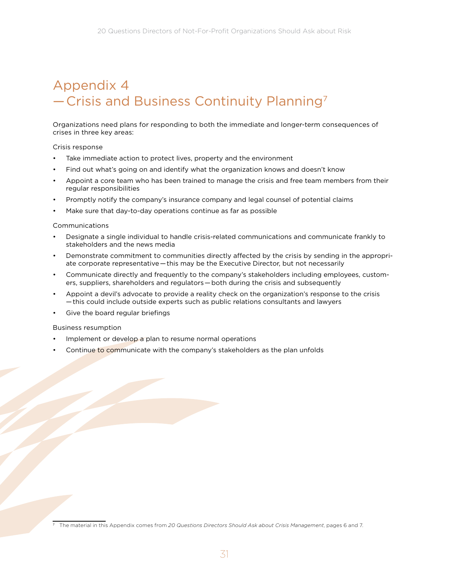# Appendix 4 — Crisis and Business Continuity Planning7

Organizations need plans for responding to both the immediate and longer-term consequences of crises in three key areas:

Crisis response

- Take immediate action to protect lives, property and the environment
- Find out what's going on and identify what the organization knows and doesn't know
- Appoint a core team who has been trained to manage the crisis and free team members from their regular responsibilities
- Promptly notify the company's insurance company and legal counsel of potential claims
- Make sure that day-to-day operations continue as far as possible

Communications

- Designate a single individual to handle crisis-related communications and communicate frankly to stakeholders and the news media
- Demonstrate commitment to communities directly affected by the crisis by sending in the appropriate corporate representative — this may be the Executive Director, but not necessarily
- Communicate directly and frequently to the company's stakeholders including employees, custom ers, suppliers, shareholders and regulators — both during the crisis and subsequently
- Appoint a devil's advocate to provide a reality check on the organization's response to the crisis — this could include outside experts such as public relations consultants and lawyers
- Give the board regular briefings

Business resumption

- Implement or develop a plan to resume normal operations
- Continue to communicate with the company's stakeholders as the plan unfolds

<sup>7</sup> the material in this Appendix comes from *20 Questions Directors should Ask about crisis management*, pages 6 and 7.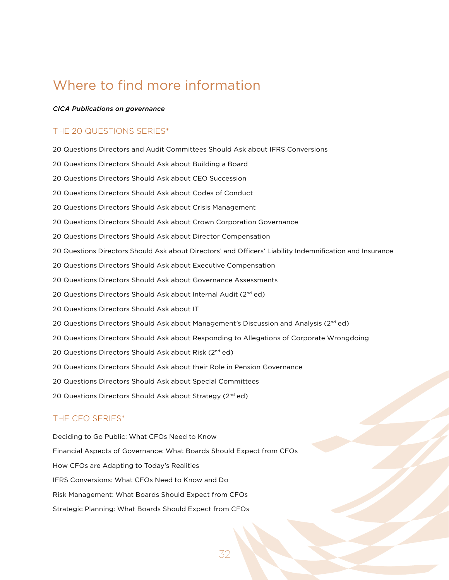# Where to find more information

#### *CICA Publications on governance*

### THE 20 QUESTIONS SERIES\*

20 Questions Directors and Audit Committees Should Ask about IFRS Conversions 20 Questions Directors Should Ask about Building a Board 20 Questions Directors Should Ask about CEO Succession 20 Questions Directors Should Ask about Codes of Conduct 20 Questions Directors Should Ask about Crisis Management 20 Questions Directors Should Ask about Crown Corporation Governance 20 Questions Directors Should Ask about Director Compensation 20 Questions Directors Should Ask about Directors' and Officers' Liability Indemnification and Insurance 20 Questions Directors Should Ask about Executive Compensation 20 Questions Directors Should Ask about Governance Assessments 20 Questions Directors Should Ask about Internal Audit (2<sup>nd</sup> ed) 20 Questions Directors Should Ask about IT 20 Questions Directors Should Ask about Management's Discussion and Analysis ( $2<sup>nd</sup>$  ed) 20 Questions Directors Should Ask about Responding to Allegations of Corporate Wrongdoing 20 Questions Directors Should Ask about Risk (2<sup>nd</sup> ed) 20 Questions Directors Should Ask about their Role in Pension Governance 20 Questions Directors Should Ask about Special Committees 20 Questions Directors Should Ask about Strategy (2nd ed) the cFO SeRieS\*

Deciding to Go Public: What CFOs Need to Know Financial Aspects of Governance: What Boards Should Expect from CFOs How CFOs are Adapting to Today's Realities IFRS Conversions: What CFOs Need to Know and Do Risk Management: What Boards Should Expect from CFOs Strategic Planning: What Boards Should Expect from CFOs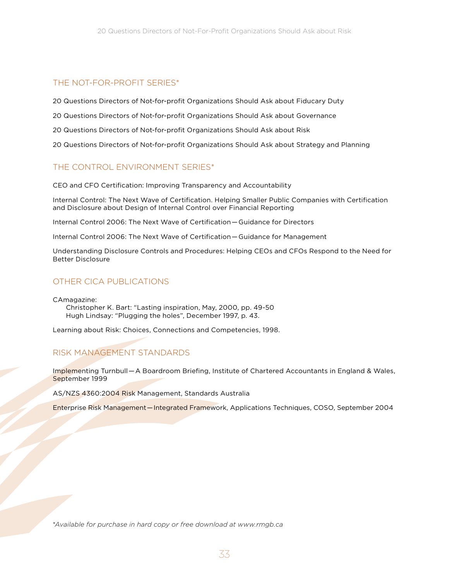# the NOt-FOR-PROFit SeRieS\*

20 Questions Directors of Not-for-profit Organizations Should Ask about Fiducary Duty

20 Questions Directors of Not-for-profit Organizations Should Ask about Governance

20 Questions Directors of Not-for-profit Organizations Should Ask about Risk

20 Questions Directors of Not-for-profit Organizations Should Ask about Strategy and Planning

# the cONtROl eNviRONMeNt SeRieS\*

CEO and CFO Certification: Improving Transparency and Accountability

Internal Control: The Next Wave of Certification. Helping Smaller Public Companies with Certification and Disclosure about Design of Internal Control over Financial Reporting

Internal Control 2006: The Next Wave of Certification — Guidance for Directors

Internal Control 2006: The Next Wave of Certification — Guidance for Management

Understanding Disclosure Controls and Procedures: Helping CEOs and CFOs Respond to the Need for Better Disclosure

# OtheR cicA PuBlicAtiONS

CAmagazine:

Christopher K. Bart: "Lasting inspiration, May, 2000, pp. 49-50 Hugh Lindsay: "Plugging the holes", December 1997, p. 43.

Learning about Risk: Choices, Connections and Competencies, 1998.

## RiSk MANAgeMeNt StANDARDS

Implementing Turnbull — A Boardroom Briefing, Institute of Chartered Accountants in England & Wales, September 1999

AS/NZS 4360:2004 Risk Management, Standards Australia

Enterprise Risk Management — Integrated Framework, Applications Techniques, COSO, September 2004

\**Available for purchase in hard copy or free download at www.rmgb.ca*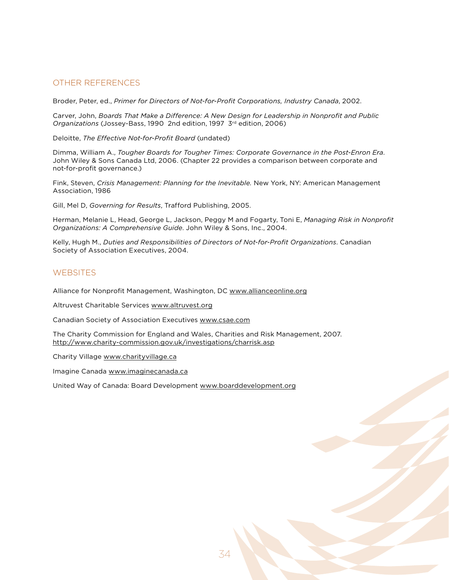### OtheR ReFeReNceS

Broder, Peter, ed., *Primer for Directors of Not-for-Profit Corporations, Industry Canada*, 2002.

Carver, John, *Boards That Make a Difference: A New Design for Leadership in Nonprofit and Public Organizations* (Jossey-Bass, 1990 2nd edition, 1997 3rd edition, 2006)

Deloitte, *The Effective Not-for-Profit Board* (undated)

Dimma, William A., *Tougher Boards for Tougher Times: Corporate Governance in the Post-Enron Era*. John Wiley & Sons Canada Ltd, 2006. (Chapter 22 provides a comparison between corporate and not-for-profit governance.)

Fink, Steven, *Crisis Management: Planning for the Inevitable*. New York, NY: American Management Association, 1986

Gill, Mel D, *Governing for Results*, Trafford Publishing, 2005.

Herman, Melanie L, Head, George L, Jackson, Peggy M and Fogarty, Toni E, *Managing Risk in Nonprofit Organizations: A Comprehensive Guide*. John Wiley & Sons, Inc., 2004.

Kelly, Hugh M., *Duties and Responsibilities of Directors of Not-for-Profit Organizations*. Canadian Society of Association Executives, 2004.

### **WEBSITES**

Alliance for Nonprofit Management, Washington, DC<www.allianceonline.org>

Altruvest Charitable Services<www.altruvest.org>

Canadian Society of Association Executives<www.csae.com>

The Charity Commission for England and Wales, Charities and Risk Management, 2007. <http://www.charity-commission.gov.uk/investigations/charrisk.asp>

Charity Village <www.charityvillage.ca>

Imagine Canada<www.imaginecanada.ca>

United Way of Canada: Board Development<www.boarddevelopment.org>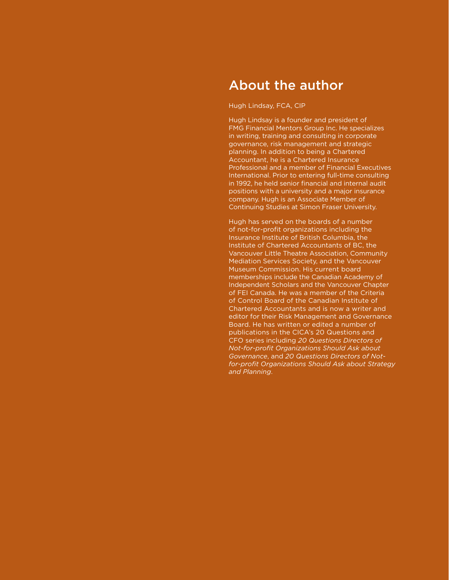# About the author

Hugh Lindsay, FCA, CIP

Hugh Lindsay is a founder and president of FMG Financial Mentors Group Inc. He specializes in writing, training and consulting in corporate governance, risk management and strategic planning. in addition to being a Chartered accountant, he is a Chartered insurance Professional and a member of Financial Executives international. Prior to entering full-time consulting in 1992, he held senior financial and internal audit positions with a university and a major insurance company. Hugh is an Associate Member of Continuing Studies at Simon Fraser University.

Hugh has served on the boards of a number of not-for-profit organizations including the insurance institute of british Columbia, the institute of Chartered accountants of bC, the Vancouver Little Theatre Association, Community Mediation Services Society, and the Vancouver Museum Commission. His current board memberships include the Canadian Academy of independent Scholars and the Vancouver Chapter of Fei Canada. He was a member of the Criteria of Control Board of the Canadian Institute of Chartered accountants and is now a writer and editor for their Risk Management and Governance board. He has written or edited a number of publications in the CiCa's 20 Questions and CFo series including *20 Questions Directors of Not-for-profit Organizations Should Ask about Governance*, and *20 Questions Directors of Notfor-profit Organizations Should Ask about Strategy and Planning*.